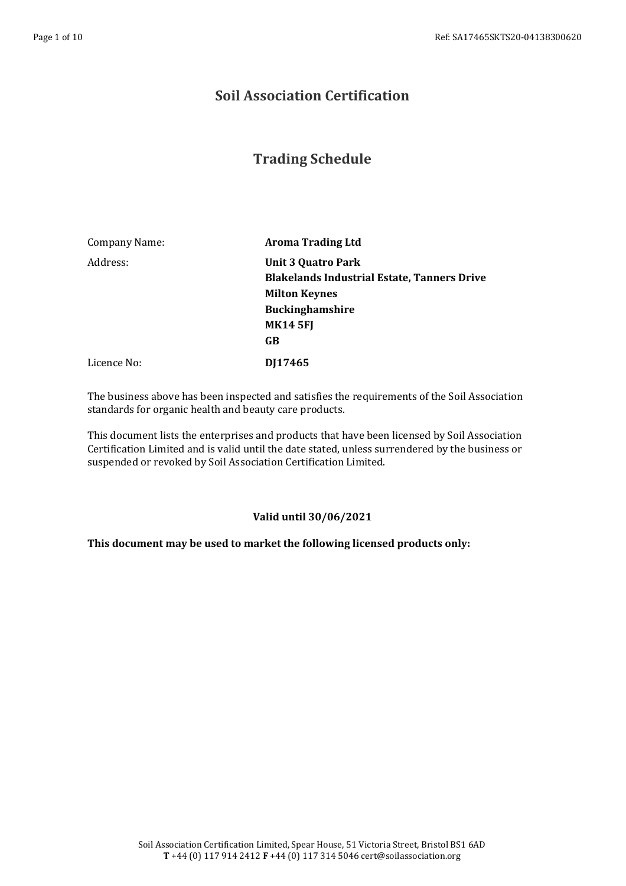## **Soil Association Certification**

## **Trading Schedule**

| <b>Aroma Trading Ltd</b>                           |
|----------------------------------------------------|
| <b>Unit 3 Quatro Park</b>                          |
| <b>Blakelands Industrial Estate, Tanners Drive</b> |
| <b>Milton Keynes</b>                               |
| <b>Buckinghamshire</b>                             |
| <b>MK14 5FJ</b>                                    |
| GB                                                 |
| DJ17465                                            |
|                                                    |

The business above has been inspected and satisfies the requirements of the Soil Association standards for organic health and beauty care products.

This document lists the enterprises and products that have been licensed by Soil Association Certification Limited and is valid until the date stated, unless surrendered by the business or suspended or revoked by Soil Association Certification Limited.

## **Valid until 30/06/2021**

## **This document may be used to market the following licensed products only:**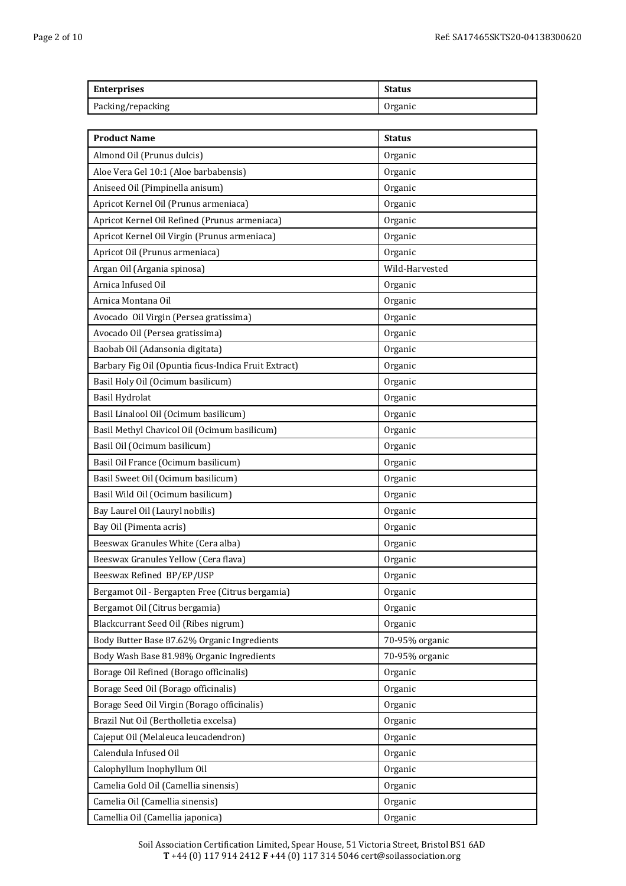| Enterprises       | <b>Status</b> |
|-------------------|---------------|
| Packing/repacking | Organic       |

| <b>Product Name</b>                                  | <b>Status</b>  |
|------------------------------------------------------|----------------|
| Almond Oil (Prunus dulcis)                           | Organic        |
| Aloe Vera Gel 10:1 (Aloe barbabensis)                | Organic        |
| Aniseed Oil (Pimpinella anisum)                      | Organic        |
| Apricot Kernel Oil (Prunus armeniaca)                | Organic        |
| Apricot Kernel Oil Refined (Prunus armeniaca)        | Organic        |
| Apricot Kernel Oil Virgin (Prunus armeniaca)         | Organic        |
| Apricot Oil (Prunus armeniaca)                       | Organic        |
| Argan Oil (Argania spinosa)                          | Wild-Harvested |
| Arnica Infused Oil                                   | Organic        |
| Arnica Montana Oil                                   | Organic        |
| Avocado Oil Virgin (Persea gratissima)               | Organic        |
| Avocado Oil (Persea gratissima)                      | Organic        |
| Baobab Oil (Adansonia digitata)                      | Organic        |
| Barbary Fig Oil (Opuntia ficus-Indica Fruit Extract) | Organic        |
| Basil Holy Oil (Ocimum basilicum)                    | Organic        |
| Basil Hydrolat                                       | Organic        |
| Basil Linalool Oil (Ocimum basilicum)                | Organic        |
| Basil Methyl Chavicol Oil (Ocimum basilicum)         | Organic        |
| Basil Oil (Ocimum basilicum)                         | Organic        |
| Basil Oil France (Ocimum basilicum)                  | Organic        |
| Basil Sweet Oil (Ocimum basilicum)                   | Organic        |
| Basil Wild Oil (Ocimum basilicum)                    | Organic        |
| Bay Laurel Oil (Lauryl nobilis)                      | Organic        |
| Bay Oil (Pimenta acris)                              | Organic        |
| Beeswax Granules White (Cera alba)                   | Organic        |
| Beeswax Granules Yellow (Cera flava)                 | Organic        |
| Beeswax Refined BP/EP/USP                            | Organic        |
| Bergamot Oil - Bergapten Free (Citrus bergamia)      | Organic        |
| Bergamot Oil (Citrus bergamia)                       | Organic        |
| Blackcurrant Seed Oil (Ribes nigrum)                 | Organic        |
| Body Butter Base 87.62% Organic Ingredients          | 70-95% organic |
| Body Wash Base 81.98% Organic Ingredients            | 70-95% organic |
| Borage Oil Refined (Borago officinalis)              | Organic        |
| Borage Seed Oil (Borago officinalis)                 | Organic        |
| Borage Seed Oil Virgin (Borago officinalis)          | Organic        |
| Brazil Nut Oil (Bertholletia excelsa)                | Organic        |
| Cajeput Oil (Melaleuca leucadendron)                 | Organic        |
| Calendula Infused Oil                                | Organic        |
| Calophyllum Inophyllum Oil                           | Organic        |
| Camelia Gold Oil (Camellia sinensis)                 | Organic        |
| Camelia Oil (Camellia sinensis)                      | Organic        |
| Camellia Oil (Camellia japonica)                     | Organic        |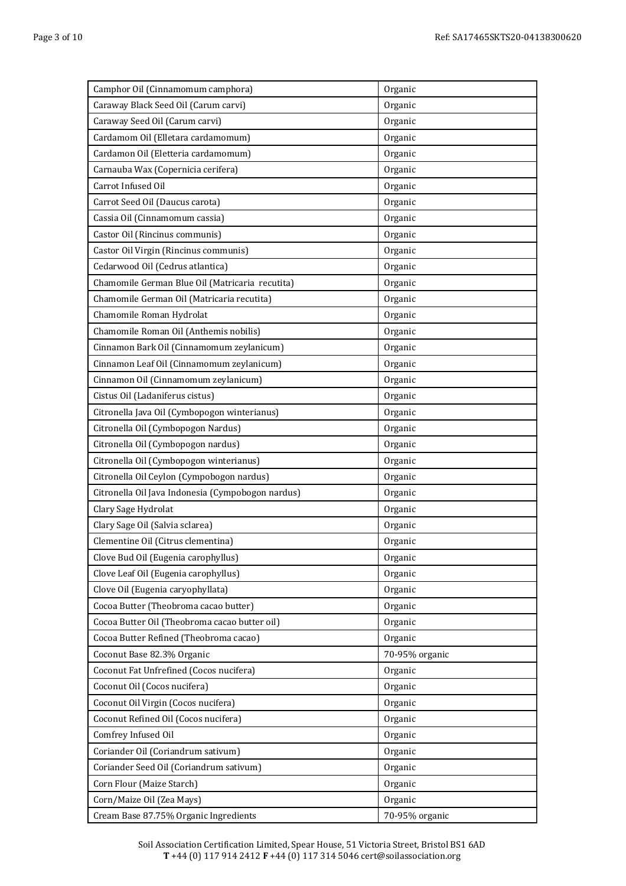| Camphor Oil (Cinnamomum camphora)                 | Organic        |
|---------------------------------------------------|----------------|
| Caraway Black Seed Oil (Carum carvi)              | Organic        |
| Caraway Seed Oil (Carum carvi)                    | Organic        |
| Cardamom Oil (Elletara cardamomum)                | Organic        |
| Cardamon Oil (Eletteria cardamomum)               | Organic        |
| Carnauba Wax (Copernicia cerifera)                | Organic        |
| Carrot Infused Oil                                | Organic        |
| Carrot Seed Oil (Daucus carota)                   | Organic        |
| Cassia Oil (Cinnamomum cassia)                    | Organic        |
| Castor Oil (Rincinus communis)                    | Organic        |
| Castor Oil Virgin (Rincinus communis)             | Organic        |
| Cedarwood Oil (Cedrus atlantica)                  | Organic        |
| Chamomile German Blue Oil (Matricaria recutita)   | Organic        |
| Chamomile German Oil (Matricaria recutita)        | Organic        |
| Chamomile Roman Hydrolat                          | Organic        |
| Chamomile Roman Oil (Anthemis nobilis)            | Organic        |
| Cinnamon Bark Oil (Cinnamomum zeylanicum)         | Organic        |
| Cinnamon Leaf Oil (Cinnamomum zeylanicum)         | Organic        |
| Cinnamon Oil (Cinnamomum zeylanicum)              | Organic        |
| Cistus Oil (Ladaniferus cistus)                   | Organic        |
| Citronella Java Oil (Cymbopogon winterianus)      | Organic        |
| Citronella Oil (Cymbopogon Nardus)                | Organic        |
| Citronella Oil (Cymbopogon nardus)                | Organic        |
| Citronella Oil (Cymbopogon winterianus)           | Organic        |
| Citronella Oil Ceylon (Cympobogon nardus)         | Organic        |
| Citronella Oil Java Indonesia (Cympobogon nardus) | Organic        |
| Clary Sage Hydrolat                               | Organic        |
| Clary Sage Oil (Salvia sclarea)                   | Organic        |
| Clementine Oil (Citrus clementina)                | Organic        |
| Clove Bud Oil (Eugenia carophyllus)               | Organic        |
| Clove Leaf Oil (Eugenia carophyllus)              | Organic        |
| Clove Oil (Eugenia caryophyllata)                 | Organic        |
| Cocoa Butter (Theobroma cacao butter)             | Organic        |
| Cocoa Butter Oil (Theobroma cacao butter oil)     | Organic        |
| Cocoa Butter Refined (Theobroma cacao)            | Organic        |
| Coconut Base 82.3% Organic                        | 70-95% organic |
| Coconut Fat Unfrefined (Cocos nucifera)           | Organic        |
| Coconut Oil (Cocos nucifera)                      | Organic        |
| Coconut Oil Virgin (Cocos nucifera)               | Organic        |
| Coconut Refined Oil (Cocos nucifera)              | Organic        |
| Comfrey Infused Oil                               | Organic        |
| Coriander Oil (Coriandrum sativum)                | Organic        |
| Coriander Seed Oil (Coriandrum sativum)           | Organic        |
| Corn Flour (Maize Starch)                         | Organic        |
| Corn/Maize Oil (Zea Mays)                         | Organic        |
| Cream Base 87.75% Organic Ingredients             | 70-95% organic |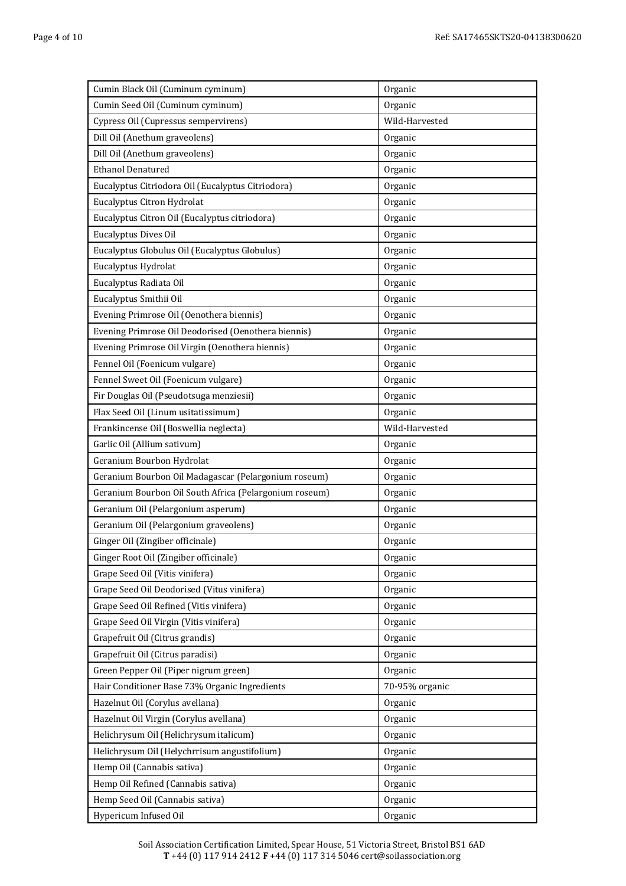| Cumin Black Oil (Cuminum cyminum)                      | Organic        |
|--------------------------------------------------------|----------------|
| Cumin Seed Oil (Cuminum cyminum)                       | Organic        |
| Cypress Oil (Cupressus sempervirens)                   | Wild-Harvested |
| Dill Oil (Anethum graveolens)                          | Organic        |
| Dill Oil (Anethum graveolens)                          | Organic        |
| <b>Ethanol Denatured</b>                               | Organic        |
| Eucalyptus Citriodora Oil (Eucalyptus Citriodora)      | Organic        |
| Eucalyptus Citron Hydrolat                             | Organic        |
| Eucalyptus Citron Oil (Eucalyptus citriodora)          | Organic        |
| Eucalyptus Dives Oil                                   | Organic        |
| Eucalyptus Globulus Oil (Eucalyptus Globulus)          | Organic        |
| Eucalyptus Hydrolat                                    | Organic        |
| Eucalyptus Radiata Oil                                 | Organic        |
| Eucalyptus Smithii Oil                                 | Organic        |
| Evening Primrose Oil (Oenothera biennis)               | Organic        |
| Evening Primrose Oil Deodorised (Oenothera biennis)    | Organic        |
| Evening Primrose Oil Virgin (Oenothera biennis)        | Organic        |
| Fennel Oil (Foenicum vulgare)                          | Organic        |
| Fennel Sweet Oil (Foenicum vulgare)                    | Organic        |
| Fir Douglas Oil (Pseudotsuga menziesii)                | Organic        |
| Flax Seed Oil (Linum usitatissimum)                    | Organic        |
| Frankincense Oil (Boswellia neglecta)                  | Wild-Harvested |
| Garlic Oil (Allium sativum)                            | Organic        |
| Geranium Bourbon Hydrolat                              | Organic        |
| Geranium Bourbon Oil Madagascar (Pelargonium roseum)   | Organic        |
| Geranium Bourbon Oil South Africa (Pelargonium roseum) | Organic        |
| Geranium Oil (Pelargonium asperum)                     | Organic        |
| Geranium Oil (Pelargonium graveolens)                  | Organic        |
| Ginger Oil (Zingiber officinale)                       | Organic        |
| Ginger Root Oil (Zingiber officinale)                  | Organic        |
| Grape Seed Oil (Vitis vinifera)                        | Organic        |
| Grape Seed Oil Deodorised (Vitus vinifera)             | Organic        |
| Grape Seed Oil Refined (Vitis vinifera)                | Organic        |
| Grape Seed Oil Virgin (Vitis vinifera)                 | Organic        |
| Grapefruit Oil (Citrus grandis)                        | Organic        |
| Grapefruit Oil (Citrus paradisi)                       | Organic        |
| Green Pepper Oil (Piper nigrum green)                  | Organic        |
| Hair Conditioner Base 73% Organic Ingredients          | 70-95% organic |
| Hazelnut Oil (Corylus avellana)                        | Organic        |
| Hazelnut Oil Virgin (Corylus avellana)                 | Organic        |
| Helichrysum Oil (Helichrysum italicum)                 | Organic        |
| Helichrysum Oil (Helychrrisum angustifolium)           | Organic        |
| Hemp Oil (Cannabis sativa)                             | Organic        |
| Hemp Oil Refined (Cannabis sativa)                     | Organic        |
| Hemp Seed Oil (Cannabis sativa)                        | Organic        |
| Hypericum Infused Oil                                  | Organic        |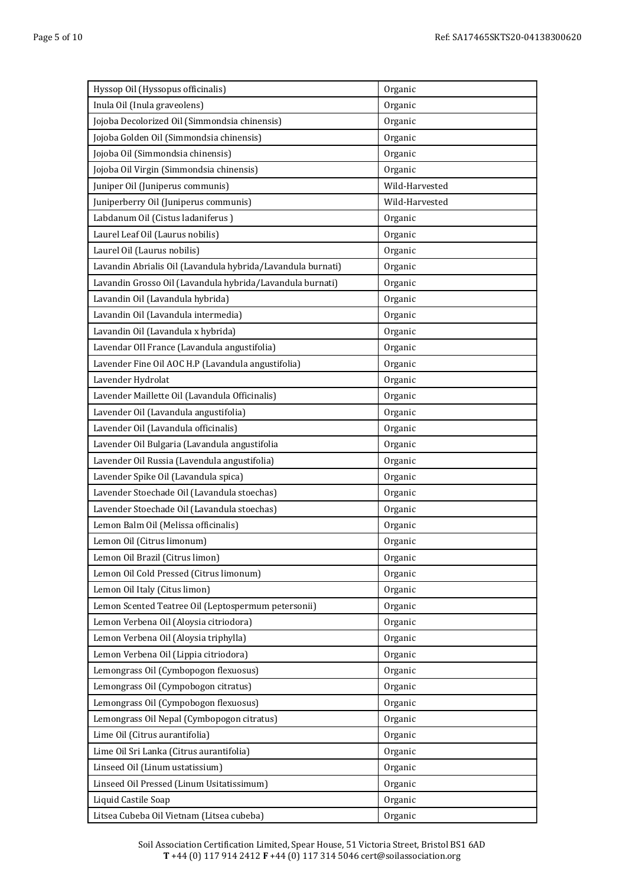| Hyssop Oil (Hyssopus officinalis)                           | Organic        |
|-------------------------------------------------------------|----------------|
| Inula Oil (Inula graveolens)                                | Organic        |
| Jojoba Decolorized Oil (Simmondsia chinensis)               | Organic        |
| Jojoba Golden Oil (Simmondsia chinensis)                    | Organic        |
| Jojoba Oil (Simmondsia chinensis)                           | Organic        |
| Jojoba Oil Virgin (Simmondsia chinensis)                    | Organic        |
| Juniper Oil (Juniperus communis)                            | Wild-Harvested |
| Juniperberry Oil (Juniperus communis)                       | Wild-Harvested |
| Labdanum Oil (Cistus ladaniferus)                           | Organic        |
| Laurel Leaf Oil (Laurus nobilis)                            | Organic        |
| Laurel Oil (Laurus nobilis)                                 | Organic        |
| Lavandin Abrialis Oil (Lavandula hybrida/Lavandula burnati) | Organic        |
| Lavandin Grosso Oil (Lavandula hybrida/Lavandula burnati)   | Organic        |
| Lavandin Oil (Lavandula hybrida)                            | Organic        |
| Lavandin Oil (Lavandula intermedia)                         | Organic        |
| Lavandin Oil (Lavandula x hybrida)                          | Organic        |
| Lavendar OIl France (Lavandula angustifolia)                | Organic        |
| Lavender Fine Oil AOC H.P (Lavandula angustifolia)          | Organic        |
| Lavender Hydrolat                                           | Organic        |
| Lavender Maillette Oil (Lavandula Officinalis)              | Organic        |
| Lavender Oil (Lavandula angustifolia)                       | Organic        |
| Lavender Oil (Lavandula officinalis)                        | Organic        |
| Lavender Oil Bulgaria (Lavandula angustifolia               | Organic        |
| Lavender Oil Russia (Lavendula angustifolia)                | Organic        |
| Lavender Spike Oil (Lavandula spica)                        | Organic        |
| Lavender Stoechade Oil (Lavandula stoechas)                 | Organic        |
| Lavender Stoechade Oil (Lavandula stoechas)                 | Organic        |
| Lemon Balm Oil (Melissa officinalis)                        | Organic        |
| Lemon Oil (Citrus limonum)                                  | Organic        |
| Lemon Oil Brazil (Citrus limon)                             | Organic        |
| Lemon Oil Cold Pressed (Citrus limonum)                     | Organic        |
| Lemon Oil Italy (Citus limon)                               | Organic        |
| Lemon Scented Teatree Oil (Leptospermum petersonii)         | Organic        |
| Lemon Verbena Oil (Aloysia citriodora)                      | Organic        |
| Lemon Verbena Oil (Aloysia triphylla)                       | Organic        |
| Lemon Verbena Oil (Lippia citriodora)                       | Organic        |
| Lemongrass Oil (Cymbopogon flexuosus)                       | Organic        |
| Lemongrass Oil (Cympobogon citratus)                        | Organic        |
| Lemongrass Oil (Cympobogon flexuosus)                       | Organic        |
| Lemongrass Oil Nepal (Cymbopogon citratus)                  | Organic        |
| Lime Oil (Citrus aurantifolia)                              | Organic        |
| Lime Oil Sri Lanka (Citrus aurantifolia)                    | Organic        |
| Linseed Oil (Linum ustatissium)                             | Organic        |
| Linseed Oil Pressed (Linum Usitatissimum)                   | Organic        |
| Liquid Castile Soap                                         | Organic        |
| Litsea Cubeba Oil Vietnam (Litsea cubeba)                   | Organic        |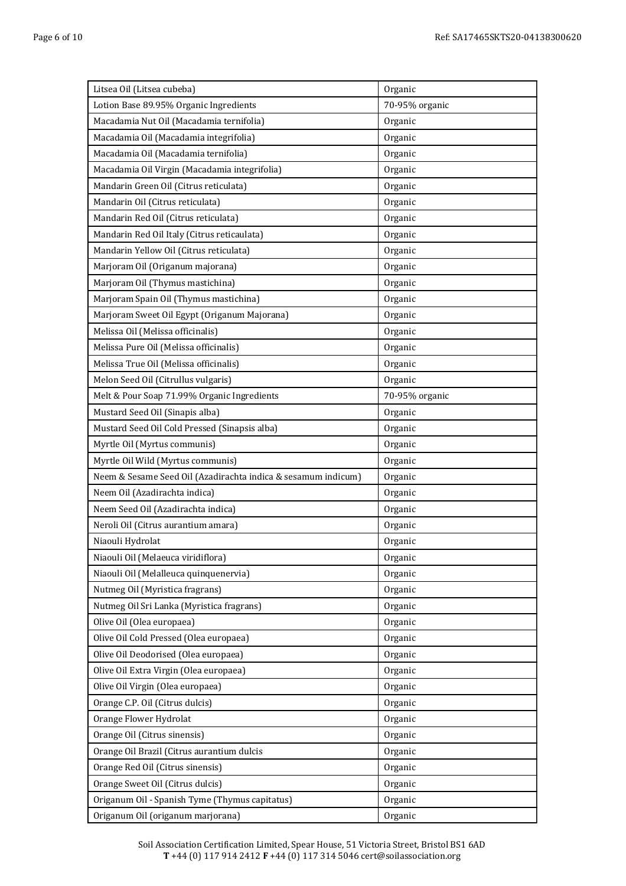| Litsea Oil (Litsea cubeba)                                    | Organic        |
|---------------------------------------------------------------|----------------|
| Lotion Base 89.95% Organic Ingredients                        | 70-95% organic |
| Macadamia Nut Oil (Macadamia ternifolia)                      | Organic        |
| Macadamia Oil (Macadamia integrifolia)                        | Organic        |
| Macadamia Oil (Macadamia ternifolia)                          | Organic        |
| Macadamia Oil Virgin (Macadamia integrifolia)                 | Organic        |
| Mandarin Green Oil (Citrus reticulata)                        | Organic        |
| Mandarin Oil (Citrus reticulata)                              | Organic        |
| Mandarin Red Oil (Citrus reticulata)                          | Organic        |
| Mandarin Red Oil Italy (Citrus reticaulata)                   | Organic        |
| Mandarin Yellow Oil (Citrus reticulata)                       | Organic        |
| Marjoram Oil (Origanum majorana)                              | Organic        |
| Marjoram Oil (Thymus mastichina)                              | Organic        |
| Marjoram Spain Oil (Thymus mastichina)                        | Organic        |
| Marjoram Sweet Oil Egypt (Origanum Majorana)                  | Organic        |
| Melissa Oil (Melissa officinalis)                             | Organic        |
| Melissa Pure Oil (Melissa officinalis)                        | Organic        |
| Melissa True Oil (Melissa officinalis)                        | Organic        |
| Melon Seed Oil (Citrullus vulgaris)                           | Organic        |
| Melt & Pour Soap 71.99% Organic Ingredients                   | 70-95% organic |
| Mustard Seed Oil (Sinapis alba)                               | Organic        |
| Mustard Seed Oil Cold Pressed (Sinapsis alba)                 | Organic        |
| Myrtle Oil (Myrtus communis)                                  | Organic        |
| Myrtle Oil Wild (Myrtus communis)                             | Organic        |
| Neem & Sesame Seed Oil (Azadirachta indica & sesamum indicum) | Organic        |
| Neem Oil (Azadirachta indica)                                 | Organic        |
| Neem Seed Oil (Azadirachta indica)                            | Organic        |
| Neroli Oil (Citrus aurantium amara)                           | Organic        |
| Niaouli Hydrolat                                              | Organic        |
| Niaouli Oil (Melaeuca viridiflora)                            | Organic        |
| Niaouli Oil (Melalleuca quinquenervia)                        | Organic        |
| Nutmeg Oil (Myristica fragrans)                               | Organic        |
| Nutmeg Oil Sri Lanka (Myristica fragrans)                     | Organic        |
| Olive Oil (Olea europaea)                                     | Organic        |
| Olive Oil Cold Pressed (Olea europaea)                        | Organic        |
| Olive Oil Deodorised (Olea europaea)                          | Organic        |
| Olive Oil Extra Virgin (Olea europaea)                        | Organic        |
| Olive Oil Virgin (Olea europaea)                              | Organic        |
| Orange C.P. Oil (Citrus dulcis)                               | Organic        |
| Orange Flower Hydrolat                                        | Organic        |
| Orange Oil (Citrus sinensis)                                  | Organic        |
| Orange Oil Brazil (Citrus aurantium dulcis                    | Organic        |
| Orange Red Oil (Citrus sinensis)                              | Organic        |
| Orange Sweet Oil (Citrus dulcis)                              | Organic        |
| Origanum Oil - Spanish Tyme (Thymus capitatus)                | Organic        |
| Origanum Oil (origanum marjorana)                             | Organic        |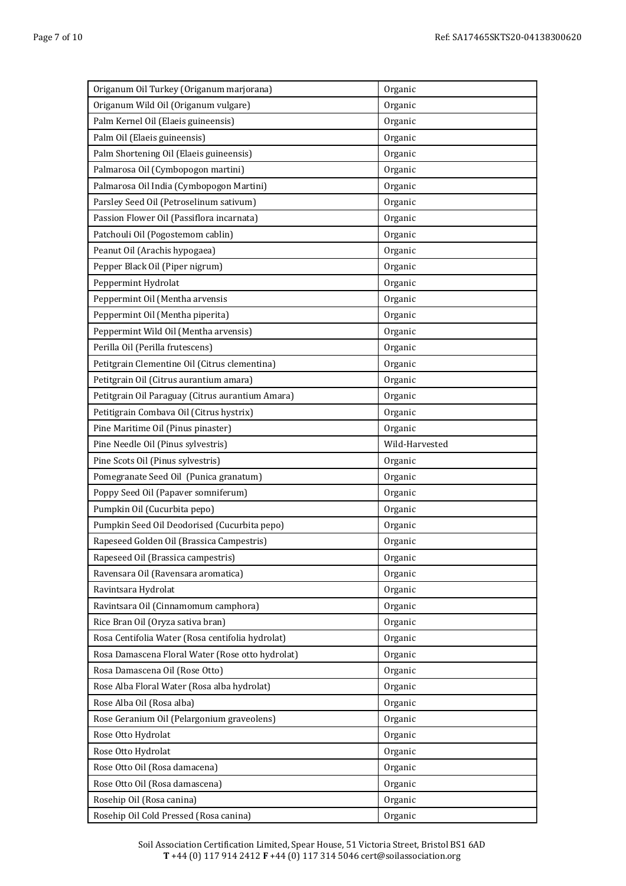| Origanum Oil Turkey (Origanum marjorana)         | Organic        |
|--------------------------------------------------|----------------|
| Origanum Wild Oil (Origanum vulgare)             | Organic        |
| Palm Kernel Oil (Elaeis guineensis)              | Organic        |
| Palm Oil (Elaeis guineensis)                     | Organic        |
| Palm Shortening Oil (Elaeis guineensis)          | Organic        |
| Palmarosa Oil (Cymbopogon martini)               | Organic        |
| Palmarosa Oil India (Cymbopogon Martini)         | Organic        |
| Parsley Seed Oil (Petroselinum sativum)          | Organic        |
| Passion Flower Oil (Passiflora incarnata)        | Organic        |
| Patchouli Oil (Pogostemom cablin)                | Organic        |
| Peanut Oil (Arachis hypogaea)                    | Organic        |
| Pepper Black Oil (Piper nigrum)                  | Organic        |
| Peppermint Hydrolat                              | Organic        |
| Peppermint Oil (Mentha arvensis                  | Organic        |
| Peppermint Oil (Mentha piperita)                 | Organic        |
| Peppermint Wild Oil (Mentha arvensis)            | Organic        |
| Perilla Oil (Perilla frutescens)                 | Organic        |
| Petitgrain Clementine Oil (Citrus clementina)    | Organic        |
| Petitgrain Oil (Citrus aurantium amara)          | Organic        |
| Petitgrain Oil Paraguay (Citrus aurantium Amara) | Organic        |
| Petitigrain Combava Oil (Citrus hystrix)         | Organic        |
| Pine Maritime Oil (Pinus pinaster)               | Organic        |
| Pine Needle Oil (Pinus sylvestris)               | Wild-Harvested |
| Pine Scots Oil (Pinus sylvestris)                | Organic        |
| Pomegranate Seed Oil (Punica granatum)           | Organic        |
| Poppy Seed Oil (Papaver somniferum)              | Organic        |
| Pumpkin Oil (Cucurbita pepo)                     | Organic        |
| Pumpkin Seed Oil Deodorised (Cucurbita pepo)     | Organic        |
| Rapeseed Golden Oil (Brassica Campestris)        | Organic        |
| Rapeseed Oil (Brassica campestris)               | Organic        |
| Ravensara Oil (Ravensara aromatica)              | Organic        |
| Ravintsara Hydrolat                              | Organic        |
| Ravintsara Oil (Cinnamomum camphora)             | Organic        |
| Rice Bran Oil (Oryza sativa bran)                | Organic        |
| Rosa Centifolia Water (Rosa centifolia hydrolat) | Organic        |
| Rosa Damascena Floral Water (Rose otto hydrolat) | Organic        |
| Rosa Damascena Oil (Rose Otto)                   | Organic        |
| Rose Alba Floral Water (Rosa alba hydrolat)      | Organic        |
| Rose Alba Oil (Rosa alba)                        | Organic        |
| Rose Geranium Oil (Pelargonium graveolens)       | Organic        |
| Rose Otto Hydrolat                               | Organic        |
| Rose Otto Hydrolat                               | Organic        |
| Rose Otto Oil (Rosa damacena)                    | Organic        |
| Rose Otto Oil (Rosa damascena)                   | Organic        |
| Rosehip Oil (Rosa canina)                        | Organic        |
| Rosehip Oil Cold Pressed (Rosa canina)           | Organic        |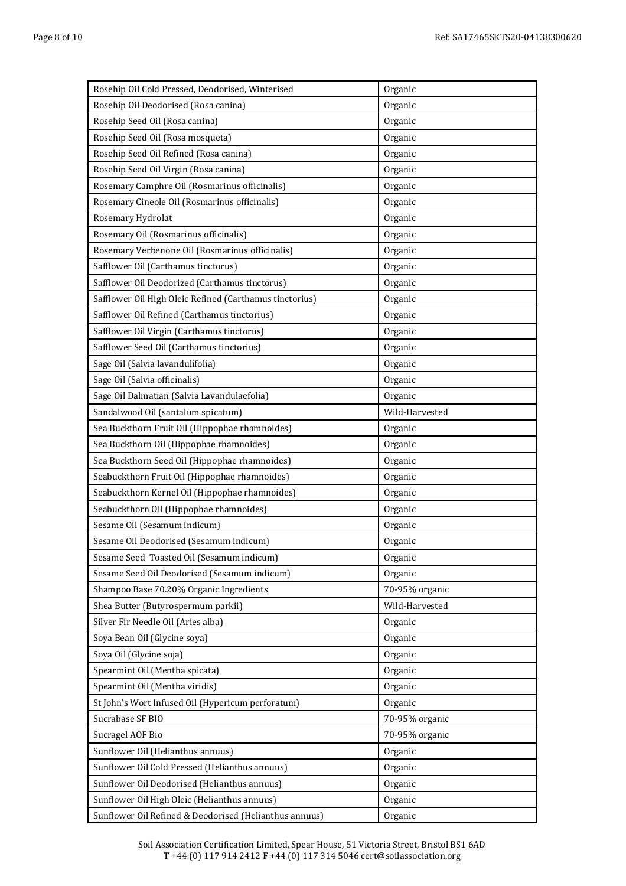| Rosehip Oil Cold Pressed, Deodorised, Winterised        | Organic        |
|---------------------------------------------------------|----------------|
| Rosehip Oil Deodorised (Rosa canina)                    | Organic        |
| Rosehip Seed Oil (Rosa canina)                          | Organic        |
| Rosehip Seed Oil (Rosa mosqueta)                        | Organic        |
| Rosehip Seed Oil Refined (Rosa canina)                  | Organic        |
| Rosehip Seed Oil Virgin (Rosa canina)                   | Organic        |
| Rosemary Camphre Oil (Rosmarinus officinalis)           | Organic        |
| Rosemary Cineole Oil (Rosmarinus officinalis)           | Organic        |
| Rosemary Hydrolat                                       | Organic        |
| Rosemary Oil (Rosmarinus officinalis)                   | Organic        |
| Rosemary Verbenone Oil (Rosmarinus officinalis)         | Organic        |
| Safflower Oil (Carthamus tinctorus)                     | Organic        |
| Safflower Oil Deodorized (Carthamus tinctorus)          | Organic        |
| Safflower Oil High Oleic Refined (Carthamus tinctorius) | Organic        |
| Safflower Oil Refined (Carthamus tinctorius)            | Organic        |
| Safflower Oil Virgin (Carthamus tinctorus)              | Organic        |
| Safflower Seed Oil (Carthamus tinctorius)               | Organic        |
| Sage Oil (Salvia lavandulifolia)                        | Organic        |
| Sage Oil (Salvia officinalis)                           | Organic        |
| Sage Oil Dalmatian (Salvia Lavandulaefolia)             | Organic        |
| Sandalwood Oil (santalum spicatum)                      | Wild-Harvested |
| Sea Buckthorn Fruit Oil (Hippophae rhamnoides)          | Organic        |
| Sea Buckthorn Oil (Hippophae rhamnoides)                | Organic        |
| Sea Buckthorn Seed Oil (Hippophae rhamnoides)           | Organic        |
| Seabuckthorn Fruit Oil (Hippophae rhamnoides)           | Organic        |
| Seabuckthorn Kernel Oil (Hippophae rhamnoides)          | Organic        |
| Seabuckthorn Oil (Hippophae rhamnoides)                 | Organic        |
| Sesame Oil (Sesamum indicum)                            | Organic        |
| Sesame Oil Deodorised (Sesamum indicum)                 | Organic        |
| Sesame Seed Toasted Oil (Sesamum indicum)               | Organic        |
| Sesame Seed Oil Deodorised (Sesamum indicum)            | Organic        |
| Shampoo Base 70.20% Organic Ingredients                 | 70-95% organic |
| Shea Butter (Butyrospermum parkii)                      | Wild-Harvested |
| Silver Fir Needle Oil (Aries alba)                      | Organic        |
| Soya Bean Oil (Glycine soya)                            | Organic        |
| Soya Oil (Glycine soja)                                 | Organic        |
| Spearmint Oil (Mentha spicata)                          | Organic        |
| Spearmint Oil (Mentha viridis)                          | Organic        |
| St John's Wort Infused Oil (Hypericum perforatum)       | Organic        |
| Sucrabase SF BIO                                        | 70-95% organic |
| Sucragel AOF Bio                                        | 70-95% organic |
| Sunflower Oil (Helianthus annuus)                       | Organic        |
| Sunflower Oil Cold Pressed (Helianthus annuus)          | Organic        |
| Sunflower Oil Deodorised (Helianthus annuus)            | Organic        |
| Sunflower Oil High Oleic (Helianthus annuus)            | Organic        |
| Sunflower Oil Refined & Deodorised (Helianthus annuus)  | Organic        |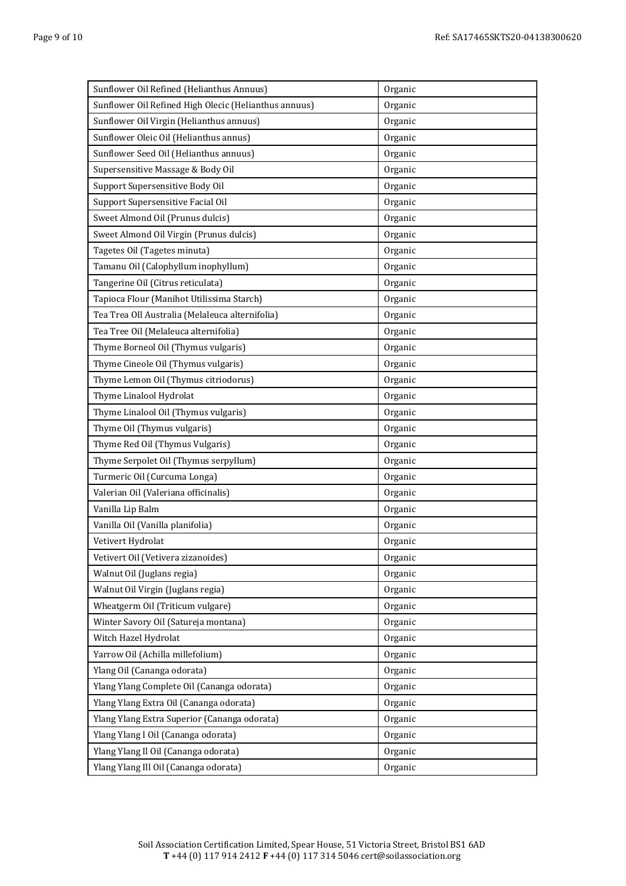| Sunflower Oil Refined (Helianthus Annuus)             | Organic |
|-------------------------------------------------------|---------|
| Sunflower Oil Refined High Olecic (Helianthus annuus) | Organic |
| Sunflower Oil Virgin (Helianthus annuus)              | Organic |
| Sunflower Oleic Oil (Helianthus annus)                | Organic |
| Sunflower Seed Oil (Helianthus annuus)                | Organic |
| Supersensitive Massage & Body Oil                     | Organic |
| Support Supersensitive Body Oil                       | Organic |
| Support Supersensitive Facial Oil                     | Organic |
| Sweet Almond Oil (Prunus dulcis)                      | Organic |
| Sweet Almond Oil Virgin (Prunus dulcis)               | Organic |
| Tagetes Oil (Tagetes minuta)                          | Organic |
| Tamanu Oil (Calophyllum inophyllum)                   | Organic |
| Tangerine Oil (Citrus reticulata)                     | Organic |
| Tapioca Flour (Manihot Utilissima Starch)             | Organic |
| Tea Trea OIl Australia (Melaleuca alternifolia)       | Organic |
| Tea Tree Oil (Melaleuca alternifolia)                 | Organic |
| Thyme Borneol Oil (Thymus vulgaris)                   | Organic |
| Thyme Cineole Oil (Thymus vulgaris)                   | Organic |
| Thyme Lemon Oil (Thymus citriodorus)                  | Organic |
| Thyme Linalool Hydrolat                               | Organic |
| Thyme Linalool Oil (Thymus vulgaris)                  | Organic |
| Thyme Oil (Thymus vulgaris)                           | Organic |
| Thyme Red Oil (Thymus Vulgaris)                       | Organic |
| Thyme Serpolet Oil (Thymus serpyllum)                 | Organic |
| Turmeric Oil (Curcuma Longa)                          | Organic |
| Valerian Oil (Valeriana officinalis)                  | Organic |
| Vanilla Lip Balm                                      | Organic |
| Vanilla Oil (Vanilla planifolia)                      | Organic |
| Vetivert Hydrolat                                     | Organic |
| Vetivert Oil (Vetivera zizanoides)                    | Organic |
| Walnut Oil (Juglans regia)                            | Organic |
| Walnut Oil Virgin (Juglans regia)                     | Organic |
| Wheatgerm Oil (Triticum vulgare)                      | Organic |
| Winter Savory Oil (Satureja montana)                  | Organic |
| Witch Hazel Hydrolat                                  | Organic |
| Yarrow Oil (Achilla millefolium)                      | Organic |
| Ylang Oil (Cananga odorata)                           | Organic |
| Ylang Ylang Complete Oil (Cananga odorata)            | Organic |
| Ylang Ylang Extra Oil (Cananga odorata)               | Organic |
| Ylang Ylang Extra Superior (Cananga odorata)          | Organic |
| Ylang Ylang I Oil (Cananga odorata)                   | Organic |
| Ylang Ylang Il Oil (Cananga odorata)                  | Organic |
| Ylang Ylang Ill Oil (Cananga odorata)                 | Organic |